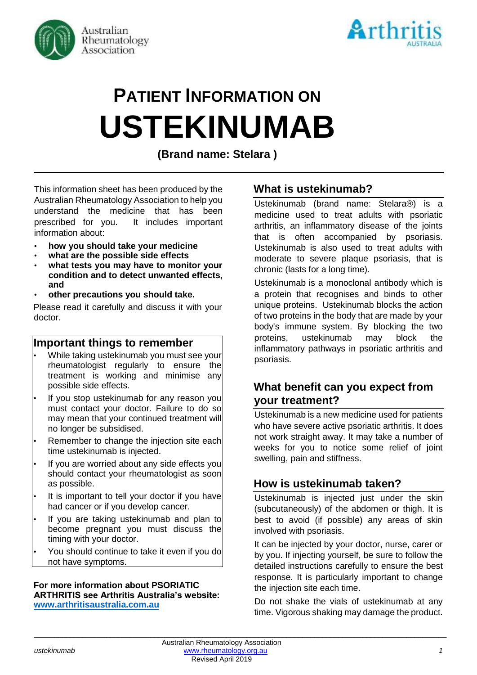



# **PATIENT INFORMATION ON USTEKINUMAB**

**(Brand name: Stelara )**

This information sheet has been produced by the Australian Rheumatology Association to help you understand the medicine that has been prescribed for you. It includes important information about:

- **how you should take your medicine**
- **what are the possible side effects**
- **what tests you may have to monitor your condition and to detect unwanted effects, and**
- **other precautions you should take.**

Please read it carefully and discuss it with your doctor.

## **Important things to remember**

- While taking ustekinumab you must see your rheumatologist regularly to ensure the treatment is working and minimise any possible side effects.
- If you stop ustekinumab for any reason you must contact your doctor. Failure to do so may mean that your continued treatment will no longer be subsidised.
- Remember to change the injection site each time ustekinumab is injected.
- If you are worried about any side effects you should contact your rheumatologist as soon as possible.
- It is important to tell your doctor if you have had cancer or if you develop cancer.
- If you are taking ustekinumab and plan to become pregnant you must discuss the timing with your doctor.
- You should continue to take it even if you do not have symptoms.

#### **For more information about PSORIATIC ARTHRITIS see Arthritis Australia's website: [www.arthritisaustralia.com.au](http://www.arthritisaustralia.com.au/)**

# **What is ustekinumab?**

Ustekinumab (brand name: Stelara®) is a medicine used to treat adults with psoriatic arthritis, an inflammatory disease of the joints that is often accompanied by psoriasis. Ustekinumab is also used to treat adults with moderate to severe plaque psoriasis, that is chronic (lasts for a long time).

Ustekinumab is a monoclonal antibody which is a protein that recognises and binds to other unique proteins. Ustekinumab blocks the action of two proteins in the body that are made by your body's immune system. By blocking the two proteins, ustekinumab may block the inflammatory pathways in psoriatic arthritis and psoriasis.

# **What benefit can you expect from your treatment?**

Ustekinumab is a new medicine used for patients who have severe active psoriatic arthritis. It does not work straight away. It may take a number of weeks for you to notice some relief of joint swelling, pain and stiffness.

# **How is ustekinumab taken?**

Ustekinumab is injected just under the skin (subcutaneously) of the abdomen or thigh. It is best to avoid (if possible) any areas of skin involved with psoriasis.

It can be injected by your doctor, nurse, carer or by you. If injecting yourself, be sure to follow the detailed instructions carefully to ensure the best response. It is particularly important to change the injection site each time.

Do not shake the vials of ustekinumab at any time. Vigorous shaking may damage the product.

\_\_\_\_\_\_\_\_\_\_\_\_\_\_\_\_\_\_\_\_\_\_\_\_\_\_\_\_\_\_\_\_\_\_\_\_\_\_\_\_\_\_\_\_\_\_\_\_\_\_\_\_\_\_\_\_\_\_\_\_\_\_\_\_\_\_\_\_\_\_\_\_\_\_\_\_\_\_\_\_\_\_\_\_\_\_\_\_\_\_\_\_\_\_\_\_\_\_\_\_\_\_\_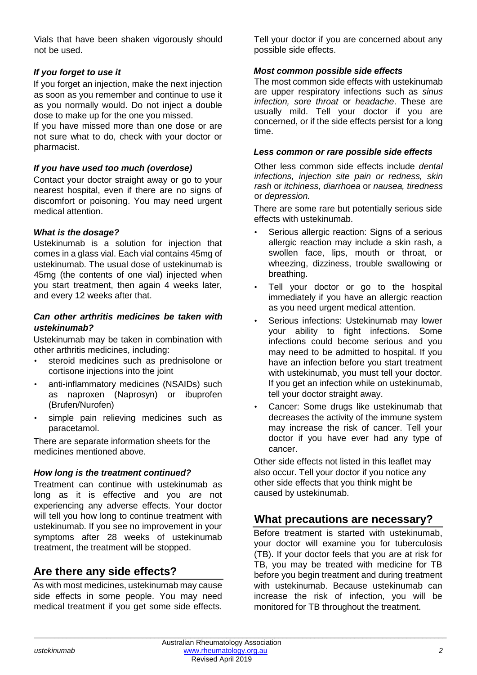Vials that have been shaken vigorously should not be used.

## *If you forget to use it*

If you forget an injection, make the next injection as soon as you remember and continue to use it as you normally would. Do not inject a double dose to make up for the one you missed.

If you have missed more than one dose or are not sure what to do, check with your doctor or pharmacist.

### *If you have used too much (overdose)*

Contact your doctor straight away or go to your nearest hospital, even if there are no signs of discomfort or poisoning. You may need urgent medical attention.

#### *What is the dosage?*

Ustekinumab is a solution for injection that comes in a glass vial. Each vial contains 45mg of ustekinumab. The usual dose of ustekinumab is 45mg (the contents of one vial) injected when you start treatment, then again 4 weeks later, and every 12 weeks after that.

#### *Can other arthritis medicines be taken with ustekinumab?*

Ustekinumab may be taken in combination with other arthritis medicines, including:

- steroid medicines such as prednisolone or cortisone injections into the joint
- anti-inflammatory medicines (NSAIDs) such as naproxen (Naprosyn) or ibuprofen (Brufen/Nurofen)
- simple pain relieving medicines such as paracetamol.

There are separate information sheets for the medicines mentioned above.

## *How long is the treatment continued?*

Treatment can continue with ustekinumab as long as it is effective and you are not experiencing any adverse effects. Your doctor will tell you how long to continue treatment with ustekinumab. If you see no improvement in your symptoms after 28 weeks of ustekinumab treatment, the treatment will be stopped.

# **Are there any side effects?**

As with most medicines, ustekinumab may cause side effects in some people. You may need medical treatment if you get some side effects.

Tell your doctor if you are concerned about any possible side effects.

#### *Most common possible side effects*

The most common side effects with ustekinumab are upper respiratory infections such as *sinus infection, sore throat* or *headache*. These are usually mild. Tell your doctor if you are concerned, or if the side effects persist for a long time.

#### *Less common or rare possible side effects*

Other less common side effects include *dental infections, injection site pain or redness, skin rash* or *itchiness, diarrhoea* or *nausea, tiredness* or *depression.* 

There are some rare but potentially serious side effects with ustekinumab.

- Serious allergic reaction: Signs of a serious allergic reaction may include a skin rash, a swollen face, lips, mouth or throat, or wheezing, dizziness, trouble swallowing or breathing.
- Tell your doctor or go to the hospital immediately if you have an allergic reaction as you need urgent medical attention.
- Serious infections: Ustekinumab may lower your ability to fight infections. Some infections could become serious and you may need to be admitted to hospital. If you have an infection before you start treatment with ustekinumab, you must tell your doctor. If you get an infection while on ustekinumab, tell your doctor straight away.
- Cancer: Some drugs like ustekinumab that decreases the activity of the immune system may increase the risk of cancer. Tell your doctor if you have ever had any type of cancer.

Other side effects not listed in this leaflet may also occur. Tell your doctor if you notice any other side effects that you think might be caused by ustekinumab.

# **What precautions are necessary?**

Before treatment is started with ustekinumab, your doctor will examine you for tuberculosis (TB). If your doctor feels that you are at risk for TB, you may be treated with medicine for TB before you begin treatment and during treatment with ustekinumab. Because ustekinumab can increase the risk of infection, you will be monitored for TB throughout the treatment.

\_\_\_\_\_\_\_\_\_\_\_\_\_\_\_\_\_\_\_\_\_\_\_\_\_\_\_\_\_\_\_\_\_\_\_\_\_\_\_\_\_\_\_\_\_\_\_\_\_\_\_\_\_\_\_\_\_\_\_\_\_\_\_\_\_\_\_\_\_\_\_\_\_\_\_\_\_\_\_\_\_\_\_\_\_\_\_\_\_\_\_\_\_\_\_\_\_\_\_\_\_\_\_